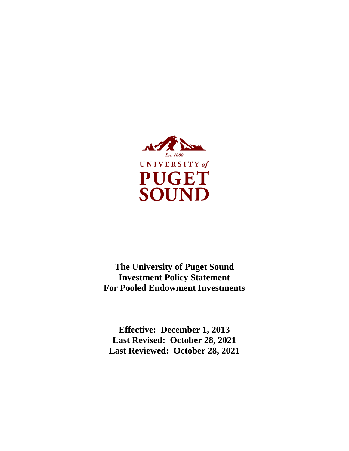

**The University of Puget Sound Investment Policy Statement For Pooled Endowment Investments**

**Effective: December 1, 2013 Last Revised: October 28, 2021 Last Reviewed: October 28, 2021**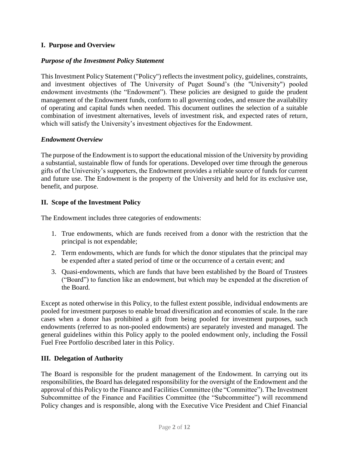# **I. Purpose and Overview**

### *Purpose of the Investment Policy Statement*

This Investment Policy Statement ("Policy") reflects the investment policy, guidelines, constraints, and investment objectives of The University of Puget Sound's (the "University") pooled endowment investments (the "Endowment"). These policies are designed to guide the prudent management of the Endowment funds, conform to all governing codes, and ensure the availability of operating and capital funds when needed. This document outlines the selection of a suitable combination of investment alternatives, levels of investment risk, and expected rates of return, which will satisfy the University's investment objectives for the Endowment.

## *Endowment Overview*

The purpose of the Endowment is to support the educational mission of the University by providing a substantial, sustainable flow of funds for operations. Developed over time through the generous gifts of the University's supporters, the Endowment provides a reliable source of funds for current and future use. The Endowment is the property of the University and held for its exclusive use, benefit, and purpose.

## **II. Scope of the Investment Policy**

The Endowment includes three categories of endowments:

- 1. True endowments, which are funds received from a donor with the restriction that the principal is not expendable;
- 2. Term endowments, which are funds for which the donor stipulates that the principal may be expended after a stated period of time or the occurrence of a certain event; and
- 3. Quasi-endowments, which are funds that have been established by the Board of Trustees ("Board") to function like an endowment, but which may be expended at the discretion of the Board.

Except as noted otherwise in this Policy, to the fullest extent possible, individual endowments are pooled for investment purposes to enable broad diversification and economies of scale. In the rare cases when a donor has prohibited a gift from being pooled for investment purposes, such endowments (referred to as non-pooled endowments) are separately invested and managed. The general guidelines within this Policy apply to the pooled endowment only, including the Fossil Fuel Free Portfolio described later in this Policy.

### **III. Delegation of Authority**

The Board is responsible for the prudent management of the Endowment. In carrying out its responsibilities, the Board has delegated responsibility for the oversight of the Endowment and the approval of this Policy to the Finance and Facilities Committee (the "Committee"). The Investment Subcommittee of the Finance and Facilities Committee (the "Subcommittee") will recommend Policy changes and is responsible, along with the Executive Vice President and Chief Financial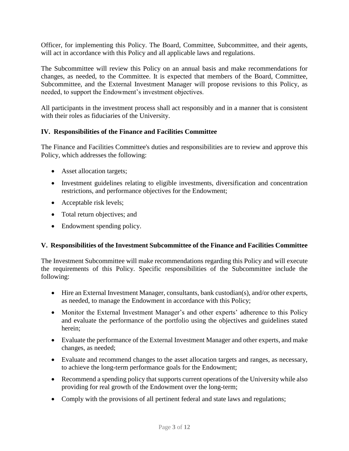Officer, for implementing this Policy. The Board, Committee, Subcommittee, and their agents, will act in accordance with this Policy and all applicable laws and regulations.

The Subcommittee will review this Policy on an annual basis and make recommendations for changes, as needed, to the Committee. It is expected that members of the Board, Committee, Subcommittee, and the External Investment Manager will propose revisions to this Policy, as needed, to support the Endowment's investment objectives.

All participants in the investment process shall act responsibly and in a manner that is consistent with their roles as fiduciaries of the University.

## **IV. Responsibilities of the Finance and Facilities Committee**

The Finance and Facilities Committee's duties and responsibilities are to review and approve this Policy, which addresses the following:

- Asset allocation targets;
- Investment guidelines relating to eligible investments, diversification and concentration restrictions, and performance objectives for the Endowment;
- Acceptable risk levels;
- Total return objectives; and
- Endowment spending policy.

### **V. Responsibilities of the Investment Subcommittee of the Finance and Facilities Committee**

The Investment Subcommittee will make recommendations regarding this Policy and will execute the requirements of this Policy. Specific responsibilities of the Subcommittee include the following:

- Hire an External Investment Manager, consultants, bank custodian(s), and/or other experts, as needed, to manage the Endowment in accordance with this Policy;
- Monitor the External Investment Manager's and other experts' adherence to this Policy and evaluate the performance of the portfolio using the objectives and guidelines stated herein;
- Evaluate the performance of the External Investment Manager and other experts, and make changes, as needed;
- Evaluate and recommend changes to the asset allocation targets and ranges, as necessary, to achieve the long-term performance goals for the Endowment;
- Recommend a spending policy that supports current operations of the University while also providing for real growth of the Endowment over the long-term;
- Comply with the provisions of all pertinent federal and state laws and regulations;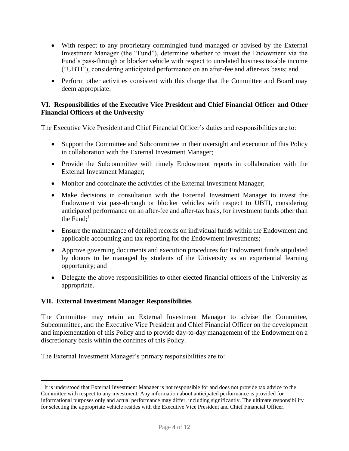- With respect to any proprietary commingled fund managed or advised by the External Investment Manager (the "Fund"), determine whether to invest the Endowment via the Fund's pass-through or blocker vehicle with respect to unrelated business taxable income ("UBTI"), considering anticipated performance on an after-fee and after-tax basis; and
- Perform other activities consistent with this charge that the Committee and Board may deem appropriate.

## **VI. Responsibilities of the Executive Vice President and Chief Financial Officer and Other Financial Officers of the University**

The Executive Vice President and Chief Financial Officer's duties and responsibilities are to:

- Support the Committee and Subcommittee in their oversight and execution of this Policy in collaboration with the External Investment Manager;
- Provide the Subcommittee with timely Endowment reports in collaboration with the External Investment Manager;
- Monitor and coordinate the activities of the External Investment Manager;
- Make decisions in consultation with the External Investment Manager to invest the Endowment via pass-through or blocker vehicles with respect to UBTI, considering anticipated performance on an after-fee and after-tax basis, for investment funds other than the Fund; 1
- Ensure the maintenance of detailed records on individual funds within the Endowment and applicable accounting and tax reporting for the Endowment investments;
- Approve governing documents and execution procedures for Endowment funds stipulated by donors to be managed by students of the University as an experiential learning opportunity; and
- Delegate the above responsibilities to other elected financial officers of the University as appropriate.

# **VII. External Investment Manager Responsibilities**

 $\overline{a}$ 

The Committee may retain an External Investment Manager to advise the Committee, Subcommittee, and the Executive Vice President and Chief Financial Officer on the development and implementation of this Policy and to provide day-to-day management of the Endowment on a discretionary basis within the confines of this Policy.

The External Investment Manager's primary responsibilities are to:

<sup>&</sup>lt;sup>1</sup> It is understood that External Investment Manager is not responsible for and does not provide tax advice to the Committee with respect to any investment. Any information about anticipated performance is provided for informational purposes only and actual performance may differ, including significantly. The ultimate responsibility for selecting the appropriate vehicle resides with the Executive Vice President and Chief Financial Officer.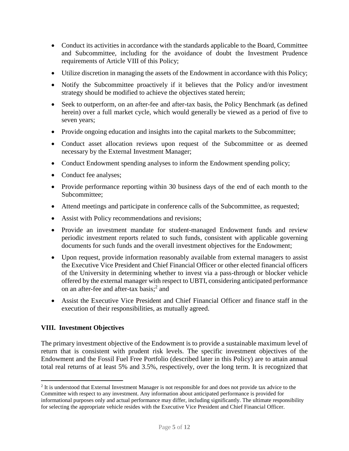- Conduct its activities in accordance with the standards applicable to the Board, Committee and Subcommittee, including for the avoidance of doubt the Investment Prudence requirements of Article VIII of this Policy;
- Utilize discretion in managing the assets of the Endowment in accordance with this Policy;
- Notify the Subcommittee proactively if it believes that the Policy and/or investment strategy should be modified to achieve the objectives stated herein;
- Seek to outperform, on an after-fee and after-tax basis, the Policy Benchmark (as defined herein) over a full market cycle, which would generally be viewed as a period of five to seven years;
- Provide ongoing education and insights into the capital markets to the Subcommittee;
- Conduct asset allocation reviews upon request of the Subcommittee or as deemed necessary by the External Investment Manager;
- Conduct Endowment spending analyses to inform the Endowment spending policy;
- Conduct fee analyses;
- Provide performance reporting within 30 business days of the end of each month to the Subcommittee;
- Attend meetings and participate in conference calls of the Subcommittee, as requested;
- Assist with Policy recommendations and revisions;
- Provide an investment mandate for student-managed Endowment funds and review periodic investment reports related to such funds, consistent with applicable governing documents for such funds and the overall investment objectives for the Endowment;
- Upon request, provide information reasonably available from external managers to assist the Executive Vice President and Chief Financial Officer or other elected financial officers of the University in determining whether to invest via a pass-through or blocker vehicle offered by the external manager with respect to UBTI, considering anticipated performance on an after-fee and after-tax basis;<sup>2</sup> and
- Assist the Executive Vice President and Chief Financial Officer and finance staff in the execution of their responsibilities, as mutually agreed.

# **VIII. Investment Objectives**

 $\overline{a}$ 

The primary investment objective of the Endowment is to provide a sustainable maximum level of return that is consistent with prudent risk levels. The specific investment objectives of the Endowment and the Fossil Fuel Free Portfolio (described later in this Policy) are to attain annual total real returns of at least 5% and 3.5%, respectively, over the long term. It is recognized that

 $2$  It is understood that External Investment Manager is not responsible for and does not provide tax advice to the Committee with respect to any investment. Any information about anticipated performance is provided for informational purposes only and actual performance may differ, including significantly. The ultimate responsibility for selecting the appropriate vehicle resides with the Executive Vice President and Chief Financial Officer.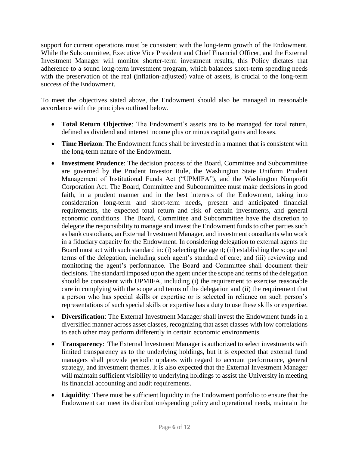support for current operations must be consistent with the long-term growth of the Endowment. While the Subcommittee, Executive Vice President and Chief Financial Officer, and the External Investment Manager will monitor shorter-term investment results, this Policy dictates that adherence to a sound long-term investment program, which balances short-term spending needs with the preservation of the real (inflation-adjusted) value of assets, is crucial to the long-term success of the Endowment.

To meet the objectives stated above, the Endowment should also be managed in reasonable accordance with the principles outlined below.

- **Total Return Objective**: The Endowment's assets are to be managed for total return, defined as dividend and interest income plus or minus capital gains and losses.
- **Time Horizon**: The Endowment funds shall be invested in a manner that is consistent with the long-term nature of the Endowment.
- **Investment Prudence**: The decision process of the Board, Committee and Subcommittee are governed by the Prudent Investor Rule, the Washington State Uniform Prudent Management of Institutional Funds Act ("UPMIFA"), and the Washington Nonprofit Corporation Act. The Board, Committee and Subcommittee must make decisions in good faith, in a prudent manner and in the best interests of the Endowment, taking into consideration long-term and short-term needs, present and anticipated financial requirements, the expected total return and risk of certain investments, and general economic conditions. The Board, Committee and Subcommittee have the discretion to delegate the responsibility to manage and invest the Endowment funds to other parties such as bank custodians, an External Investment Manager, and investment consultants who work in a fiduciary capacity for the Endowment. In considering delegation to external agents the Board must act with such standard in: (i) selecting the agent; (ii) establishing the scope and terms of the delegation, including such agent's standard of care; and (iii) reviewing and monitoring the agent's performance. The Board and Committee shall document their decisions. The standard imposed upon the agent under the scope and terms of the delegation should be consistent with UPMIFA, including (i) the requirement to exercise reasonable care in complying with the scope and terms of the delegation and (ii) the requirement that a person who has special skills or expertise or is selected in reliance on such person's representations of such special skills or expertise has a duty to use these skills or expertise.
- **Diversification**: The External Investment Manager shall invest the Endowment funds in a diversified manner across asset classes, recognizing that asset classes with low correlations to each other may perform differently in certain economic environments.
- **Transparency**: The External Investment Manager is authorized to select investments with limited transparency as to the underlying holdings, but it is expected that external fund managers shall provide periodic updates with regard to account performance, general strategy, and investment themes. It is also expected that the External Investment Manager will maintain sufficient visibility to underlying holdings to assist the University in meeting its financial accounting and audit requirements.
- **Liquidity**: There must be sufficient liquidity in the Endowment portfolio to ensure that the Endowment can meet its distribution/spending policy and operational needs, maintain the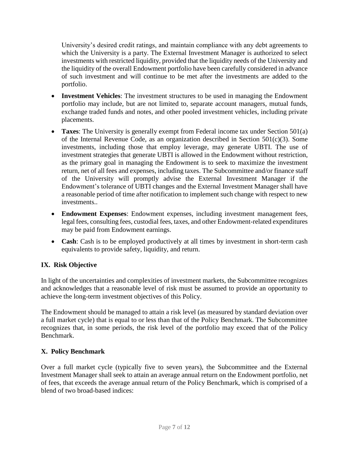University's desired credit ratings, and maintain compliance with any debt agreements to which the University is a party. The External Investment Manager is authorized to select investments with restricted liquidity, provided that the liquidity needs of the University and the liquidity of the overall Endowment portfolio have been carefully considered in advance of such investment and will continue to be met after the investments are added to the portfolio.

- **Investment Vehicles**: The investment structures to be used in managing the Endowment portfolio may include, but are not limited to, separate account managers, mutual funds, exchange traded funds and notes, and other pooled investment vehicles, including private placements.
- **Taxes**: The University is generally exempt from Federal income tax under Section 501(a) of the Internal Revenue Code, as an organization described in Section 501(c)(3). Some investments, including those that employ leverage, may generate UBTI. The use of investment strategies that generate UBTI is allowed in the Endowment without restriction, as the primary goal in managing the Endowment is to seek to maximize the investment return, net of all fees and expenses, including taxes. The Subcommittee and/or finance staff of the University will promptly advise the External Investment Manager if the Endowment's tolerance of UBTI changes and the External Investment Manager shall have a reasonable period of time after notification to implement such change with respect to new investments..
- **Endowment Expenses**: Endowment expenses, including investment management fees, legal fees, consulting fees, custodial fees, taxes, and other Endowment-related expenditures may be paid from Endowment earnings.
- **Cash**: Cash is to be employed productively at all times by investment in short-term cash equivalents to provide safety, liquidity, and return.

# **IX. Risk Objective**

In light of the uncertainties and complexities of investment markets, the Subcommittee recognizes and acknowledges that a reasonable level of risk must be assumed to provide an opportunity to achieve the long-term investment objectives of this Policy.

The Endowment should be managed to attain a risk level (as measured by standard deviation over a full market cycle) that is equal to or less than that of the Policy Benchmark. The Subcommittee recognizes that, in some periods, the risk level of the portfolio may exceed that of the Policy Benchmark.

# **X. Policy Benchmark**

Over a full market cycle (typically five to seven years), the Subcommittee and the External Investment Manager shall seek to attain an average annual return on the Endowment portfolio, net of fees, that exceeds the average annual return of the Policy Benchmark, which is comprised of a blend of two broad-based indices: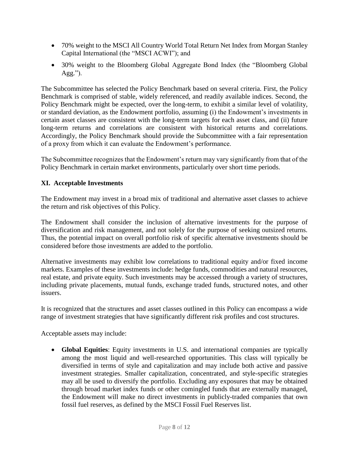- 70% weight to the MSCI All Country World Total Return Net Index from Morgan Stanley Capital International (the "MSCI ACWI"); and
- 30% weight to the Bloomberg Global Aggregate Bond Index (the "Bloomberg Global  $Agg.''.$

The Subcommittee has selected the Policy Benchmark based on several criteria. First, the Policy Benchmark is comprised of stable, widely referenced, and readily available indices. Second, the Policy Benchmark might be expected, over the long-term, to exhibit a similar level of volatility, or standard deviation, as the Endowment portfolio, assuming (i) the Endowment's investments in certain asset classes are consistent with the long-term targets for each asset class, and (ii) future long-term returns and correlations are consistent with historical returns and correlations. Accordingly, the Policy Benchmark should provide the Subcommittee with a fair representation of a proxy from which it can evaluate the Endowment's performance.

The Subcommittee recognizes that the Endowment's return may vary significantly from that of the Policy Benchmark in certain market environments, particularly over short time periods.

# **XI. Acceptable Investments**

The Endowment may invest in a broad mix of traditional and alternative asset classes to achieve the return and risk objectives of this Policy.

The Endowment shall consider the inclusion of alternative investments for the purpose of diversification and risk management, and not solely for the purpose of seeking outsized returns. Thus, the potential impact on overall portfolio risk of specific alternative investments should be considered before those investments are added to the portfolio.

Alternative investments may exhibit low correlations to traditional equity and/or fixed income markets. Examples of these investments include: hedge funds, commodities and natural resources, real estate, and private equity. Such investments may be accessed through a variety of structures, including private placements, mutual funds, exchange traded funds, structured notes, and other issuers.

It is recognized that the structures and asset classes outlined in this Policy can encompass a wide range of investment strategies that have significantly different risk profiles and cost structures.

Acceptable assets may include:

 **Global Equities**: Equity investments in U.S. and international companies are typically among the most liquid and well-researched opportunities. This class will typically be diversified in terms of style and capitalization and may include both active and passive investment strategies. Smaller capitalization, concentrated, and style-specific strategies may all be used to diversify the portfolio. Excluding any exposures that may be obtained through broad market index funds or other comingled funds that are externally managed, the Endowment will make no direct investments in publicly-traded companies that own fossil fuel reserves, as defined by the MSCI Fossil Fuel Reserves list.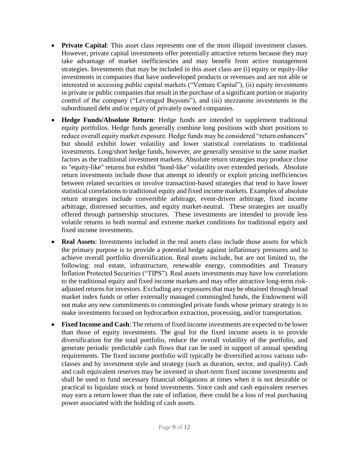- **Private Capital**: This asset class represents one of the most illiquid investment classes. However, private capital investments offer potentially attractive returns because they may take advantage of market inefficiencies and may benefit from active management strategies. Investments that may be included in this asset class are (i) equity or equity-like investments in companies that have undeveloped products or revenues and are not able or interested in accessing public capital markets ("Venture Capital"), (ii) equity investments in private or public companies that result in the purchase of a significant portion or majority control of the company ("Leveraged Buyouts"), and (iii) mezzanine investments in the subordinated debt and/or equity of privately owned companies.
- **Hedge Funds/Absolute Return**: Hedge funds are intended to supplement traditional equity portfolios. Hedge funds generally combine long positions with short positions to reduce overall equity market exposure. Hedge funds may be considered "return enhancers" but should exhibit lower volatility and lower statistical correlations to traditional investments. Long/short hedge funds, however, are generally sensitive to the same market factors as the traditional investment markets. Absolute return strategies may produce close to "equity-like" returns but exhibit "bond-like" volatility over extended periods. Absolute return investments include those that attempt to identify or exploit pricing inefficiencies between related securities or involve transaction-based strategies that tend to have lower statistical correlations to traditional equity and fixed income markets. Examples of absolute return strategies include convertible arbitrage, event-driven arbitrage, fixed income arbitrage, distressed securities, and equity market-neutral. These strategies are usually offered through partnership structures. These investments are intended to provide less volatile returns in both normal and extreme market conditions for traditional equity and fixed income investments.
- **Real Assets**: Investments included in the real assets class include those assets for which the primary purpose is to provide a potential hedge against inflationary pressures and to achieve overall portfolio diversification. Real assets include, but are not limited to, the following: real estate, infrastructure, renewable energy, commodities and Treasury Inflation Protected Securities ("TIPS"). Real assets investments may have low correlations to the traditional equity and fixed income markets and may offer attractive long-term riskadjusted returns for investors. Excluding any exposures that may be obtained through broad market index funds or other externally managed commingled funds, the Endowment will not make any new commitments to commingled private funds whose primary strategy is to make investments focused on hydrocarbon extraction, processing, and/or transportation.
- **Fixed Income and Cash**: The returns of fixed income investments are expected to be lower than those of equity investments. The goal for the fixed income assets is to provide diversification for the total portfolio, reduce the overall volatility of the portfolio, and generate periodic predictable cash flows that can be used in support of annual spending requirements. The fixed income portfolio will typically be diversified across various subclasses and by investment style and strategy (such as duration, sector, and quality). Cash and cash equivalent reserves may be invested in short-term fixed income investments and shall be used to fund necessary financial obligations at times when it is not desirable or practical to liquidate stock or bond investments. Since cash and cash equivalent reserves may earn a return lower than the rate of inflation, there could be a loss of real purchasing power associated with the holding of cash assets.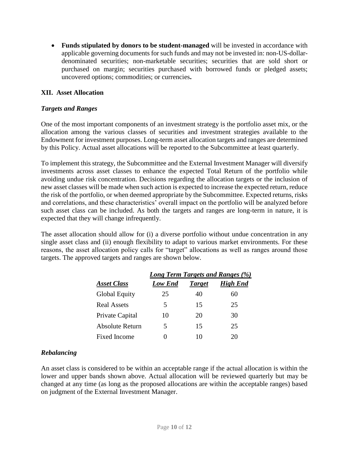**Funds stipulated by donors to be student-managed** will be invested in accordance with applicable governing documents for such funds and may not be invested in: non-US-dollardenominated securities; non-marketable securities; securities that are sold short or purchased on margin; securities purchased with borrowed funds or pledged assets; uncovered options; commodities; or currencies**.**

## **XII. Asset Allocation**

### *Targets and Ranges*

One of the most important components of an investment strategy is the portfolio asset mix, or the allocation among the various classes of securities and investment strategies available to the Endowment for investment purposes. Long-term asset allocation targets and ranges are determined by this Policy. Actual asset allocations will be reported to the Subcommittee at least quarterly.

To implement this strategy, the Subcommittee and the External Investment Manager will diversify investments across asset classes to enhance the expected Total Return of the portfolio while avoiding undue risk concentration. Decisions regarding the allocation targets or the inclusion of new asset classes will be made when such action is expected to increase the expected return, reduce the risk of the portfolio, or when deemed appropriate by the Subcommittee. Expected returns, risks and correlations, and these characteristics' overall impact on the portfolio will be analyzed before such asset class can be included. As both the targets and ranges are long-term in nature, it is expected that they will change infrequently.

The asset allocation should allow for (i) a diverse portfolio without undue concentration in any single asset class and (ii) enough flexibility to adapt to various market environments. For these reasons, the asset allocation policy calls for "target" allocations as well as ranges around those targets. The approved targets and ranges are shown below.

|                      | Long Term Targets and Ranges (%) |               |                 |  |
|----------------------|----------------------------------|---------------|-----------------|--|
| <b>Asset Class</b>   | Low End                          | <b>Target</b> | <b>High End</b> |  |
| <b>Global Equity</b> | 25                               | 40            | 60              |  |
| <b>Real Assets</b>   | 5                                | 15            | 25              |  |
| Private Capital      | 10                               | 20            | 30              |  |
| Absolute Return      | 5                                | 15            | 25              |  |
| Fixed Income         |                                  | 10            | 20              |  |

### *Rebalancing*

An asset class is considered to be within an acceptable range if the actual allocation is within the lower and upper bands shown above. Actual allocation will be reviewed quarterly but may be changed at any time (as long as the proposed allocations are within the acceptable ranges) based on judgment of the External Investment Manager.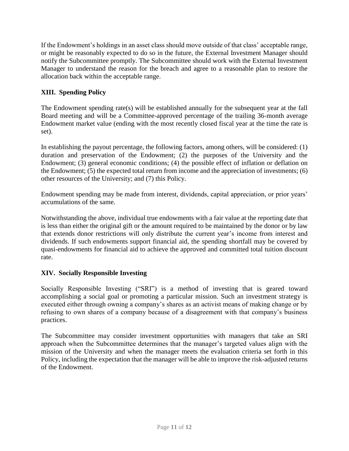If the Endowment's holdings in an asset class should move outside of that class' acceptable range, or might be reasonably expected to do so in the future, the External Investment Manager should notify the Subcommittee promptly. The Subcommittee should work with the External Investment Manager to understand the reason for the breach and agree to a reasonable plan to restore the allocation back within the acceptable range.

# **XIII. Spending Policy**

The Endowment spending rate(s) will be established annually for the subsequent year at the fall Board meeting and will be a Committee-approved percentage of the trailing 36-month average Endowment market value (ending with the most recently closed fiscal year at the time the rate is set).

In establishing the payout percentage, the following factors, among others, will be considered: (1) duration and preservation of the Endowment; (2) the purposes of the University and the Endowment; (3) general economic conditions; (4) the possible effect of inflation or deflation on the Endowment; (5) the expected total return from income and the appreciation of investments; (6) other resources of the University; and (7) this Policy.

Endowment spending may be made from interest, dividends, capital appreciation, or prior years' accumulations of the same.

Notwithstanding the above, individual true endowments with a fair value at the reporting date that is less than either the original gift or the amount required to be maintained by the donor or by law that extends donor restrictions will only distribute the current year's income from interest and dividends. If such endowments support financial aid, the spending shortfall may be covered by quasi-endowments for financial aid to achieve the approved and committed total tuition discount rate.

# **XIV. Socially Responsible Investing**

Socially Responsible Investing ("SRI") is a method of investing that is geared toward accomplishing a social goal or promoting a particular mission. Such an investment strategy is executed either through owning a company's shares as an activist means of making change or by refusing to own shares of a company because of a disagreement with that company's business practices.

The Subcommittee may consider investment opportunities with managers that take an SRI approach when the Subcommittee determines that the manager's targeted values align with the mission of the University and when the manager meets the evaluation criteria set forth in this Policy, including the expectation that the manager will be able to improve the risk-adjusted returns of the Endowment.